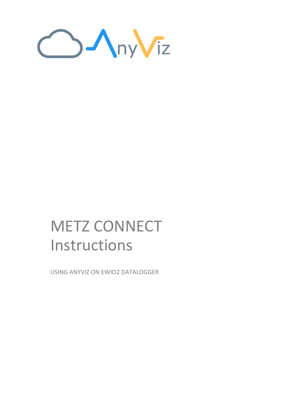

## METZ CONNECT Instructions

USING ANYVIZ ON EWIO2 DATALOGGER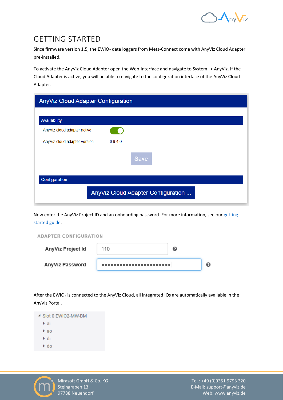

## GETTING STARTED

Since firmware version 1.5, the EWIO<sub>2</sub> data loggers from Metz-Connect come with AnyViz Cloud Adapter pre-installed.

To activate the AnyViz Cloud Adapter open the Web-interface and navigate to System--> AnyViz. If the Cloud Adapter is active, you will be able to navigate to the configuration interface of the AnyViz Cloud Adapter.

| AnyViz Cloud Adapter Configuration |             |  |
|------------------------------------|-------------|--|
|                                    |             |  |
| Availability                       |             |  |
| AnyViz cloud adapter active        |             |  |
| AnyViz cloud adapter version       | 0.9.4.0     |  |
|                                    | <b>Save</b> |  |
| Configuration                      |             |  |
| AnyViz Cloud Adapter Configuration |             |  |

Now enter the AnyViz Project ID and an onboarding password. For more information, see our [getting](https://www.anyviz.io/getting-started/#Universal)  [started guide.](https://www.anyviz.io/getting-started/#Universal)

**ADAPTER CONFIGURATION** 

| AnyViz Project Id      | 110                     | ℯ |  |
|------------------------|-------------------------|---|--|
| <b>AnyViz Password</b> | *********************** |   |  |

After the EWIO<sub>2</sub> is connected to the AnyViz Cloud, all integrated IOs are automatically available in the AnyViz Portal.





Tel.: +49 (0)9351 9793 320 E-Mail: support@anyviz.de Web: www.anyviz.de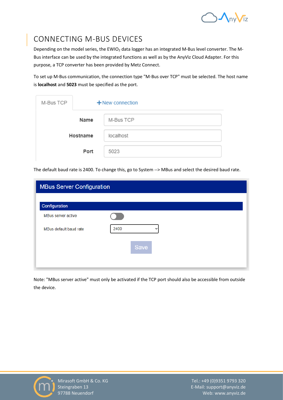

## CONNECTING M-BUS DEVICES

Depending on the model series, the EWIO<sub>2</sub> data logger has an integrated M-Bus level converter. The M-Bus interface can be used by the integrated functions as well as by the AnyViz Cloud Adapter. For this purpose, a TCP converter has been provided by Metz Connect.

To set up M-Bus communication, the connection type "M-Bus over TCP" must be selected. The host name is **localhost** and **5023** must be specified as the port.

| M-Bus TCP | $+$ New connection |           |
|-----------|--------------------|-----------|
|           | Name               | M-Bus TCP |
|           | Hostname           | localhost |
|           | Port               | 5023      |

The default baud rate is 2400. To change this, go to System --> MBus and select the desired baud rate.

| <b>MBus Server Configuration</b> |                     |  |  |
|----------------------------------|---------------------|--|--|
| Configuration                    |                     |  |  |
| MBus server active               |                     |  |  |
| MBus default baud rate           | 2400<br>$\check{ }$ |  |  |
|                                  | Save                |  |  |
|                                  |                     |  |  |

Note: "MBus server active" must only be activated if the TCP port should also be accessible from outside the device.